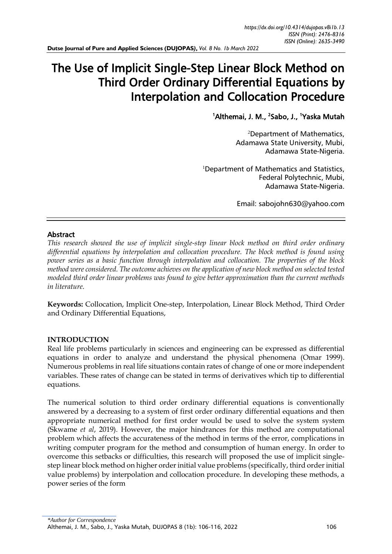# The Use of Implicit Single-Step Linear Block Method on Third Order Ordinary Differential Equations by Interpolation and Collocation Procedure

<sup>1</sup> Althemai, J. M., <sup>2</sup> Sabo, J., <sup>1</sup> Yaska Mutah

<sup>2</sup>Department of Mathematics, Adamawa State University, Mubi, Adamawa State-Nigeria.

*ISSN (Print): 2476-8316* 

 $1$ Department of Mathematics and Statistics, Federal Polytechnic, Mubi, Adamawa State-Nigeria.

Email: [sabojohn630@yahoo.com](mailto:sabojohn630@yahoo.com)

## Abstract

*This research showed the use of implicit single-step linear block method on third order ordinary differential equations by interpolation and collocation procedure. The block method is found using power series as a basic function through interpolation and collocation. The properties of the block method were considered. The outcome achieves on the application of new block method on selected tested modeled third order linear problems was found to give better approximation than the current methods in literature.*

**Keywords:** Collocation, Implicit One-step, Interpolation, Linear Block Method, Third Order and Ordinary Differential Equations,

# **INTRODUCTION**

Real life problems particularly in sciences and engineering can be expressed as differential equations in order to analyze and understand the physical phenomena (Omar 1999). Numerous problems in real life situations contain rates of change of one or more independent variables. These rates of change can be stated in terms of derivatives which tip to differential equations.

The numerical solution to third order ordinary differential equations is conventionally answered by a decreasing to a system of first order ordinary differential equations and then appropriate numerical method for first order would be used to solve the system system (Skwame *et al*, 2019). However, the major hindrances for this method are computational problem which affects the accurateness of the method in terms of the error, complications in writing computer program for the method and consumption of human energy. In order to overcome this setbacks or difficulties, this research will proposed the use of implicit singlestep linear block method on higher order initial value problems (specifically, third order initial value problems) by interpolation and collocation procedure. In developing these methods, a power series of the form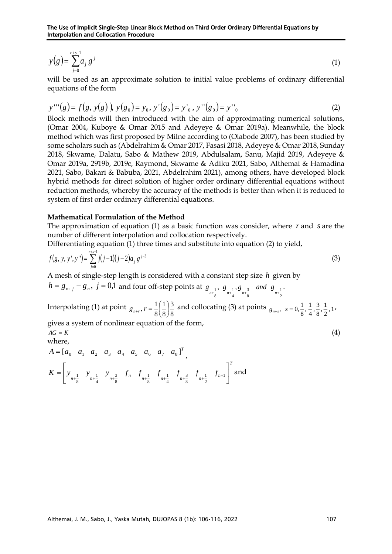$$
y(g) = \sum_{j=0}^{r+s-1} a_j g^j
$$
 (1)

will be used as an approximate solution to initial value problems of ordinary differential equations of the form

$$
y'''(g) = f(g, y(g)), y(g_0) = y_0, y'(g_0) = y'_0, y''(g_0) = y''_0
$$
\n(2)

 $y(g) = \sum_{i=0}^{n} g_i$ <br>
will be used as an approximate solution to initial value problems of ordinary different<br>
symptoms of the form<br>
symptom of the introduced with the aim of approximating numerical solution<br>
Shock methods Block methods will then introduced with the aim of approximating numerical solutions, (Omar 2004, Kuboye & Omar 2015 and Adeyeye & Omar 2019a). Meanwhile, the block method which was first proposed by Milne according to (Olabode 2007), has been studied by some scholars such as (Abdelrahim & Omar 2017, Fasasi 2018, Adeyeye & Omar 2018, Sunday 2018, Skwame, Dalatu, Sabo & Mathew 2019, Abdulsalam, Sanu, Majid 2019, Adeyeye & Omar 2019a, 2919b, 2019c, Raymond, Skwame & Adiku 2021, Sabo, Althemai & Hamadina 2021, Sabo, Bakari & Babuba, 2021, Abdelrahim 2021), among others, have developed block hybrid methods for direct solution of higher order ordinary differential equations without reduction methods, whereby the accuracy of the methods is better than when it is reduced to system of first order ordinary differential equations.

#### **Mathematical Formulation of the Method**

The approximation of equation (1) as a basic function was consider, where r and s are the number of different interpolation and collocation respectively.

Differentiating equation (1) three times and substitute into equation (2) to yield,

$$
f(g, y, y', y'') = \sum_{j=0}^{r+s-1} j(j-1)(j-2)a_j g^{j-3}
$$
 (3)

A mesh of single-step length is considered with a constant step size *h* given by

$$
h = g_{n+j} - g_n, \ j = 0,1 \text{ and four off-step points at } g_{n+\frac{1}{8}}, g_{n+\frac{1}{4}}, g_{n+\frac{3}{8}} \text{ and } g_{n+\frac{1}{2}}.
$$
  
Interpolating (1) at point  $g_{n+r}$ ,  $r = \frac{1}{8} \left(\frac{1}{8}\right) \frac{3}{8}$  and collecting (3) at points  $g_{n+s}$ ,  $s = 0, \frac{1}{8}, \frac{1}{4}, \frac{3}{8}, \frac{1}{2}, 1$ ,  
gives a system of nonlinear equation of the form,  
 $AG = K$  (4)

$$
A = \begin{bmatrix} a_0 & a_1 & a_2 & a_3 & a_4 & a_5 & a_6 & a_7 & a_8 \end{bmatrix}^T,
$$
  
\n
$$
K = \begin{bmatrix} y_{n+\frac{1}{8}} & y_{n+\frac{1}{4}} & y_{n+\frac{3}{8}} & f_n & f_{n+\frac{1}{8}} & f_{n+\frac{1}{8}} & f_{n+\frac{1}{4}} & f_{n+\frac{3}{8}} & f_{n+\frac{1}{2}} & f_{n+\frac{1}{8}} \end{bmatrix}^T
$$
 and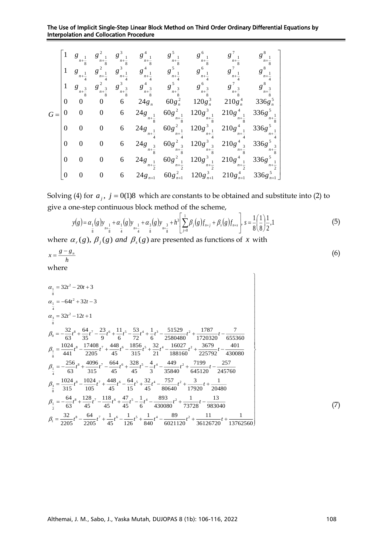The Use of Implicit Single-Step Linear Block Method on Third Order Ordinary Differential Equations by Interpolation and Collocation Procedure

|      |          | g<br>$n + \frac{1}{8}$ | $n + \frac{1}{8}$      | $n+\frac{1}{8}$                       | $n+\frac{1}{8}$                                     | $n+\frac{1}{8}$                                         | $g^6$<br>$n + \frac{1}{8}$                 | $n + \frac{1}{8}$                             | $n + -$                       |
|------|----------|------------------------|------------------------|---------------------------------------|-----------------------------------------------------|---------------------------------------------------------|--------------------------------------------|-----------------------------------------------|-------------------------------|
|      | 1        | g<br>$n + -$           | g<br>$n + -$           | $g^3$<br>$n+\frac{1}{4}$              | $g^4$<br>$n + -$                                    | $g^5$<br>$n + -$                                        | $g^6$<br>$n + -$                           | $g^7$                                         | $g^8$                         |
|      | 1        | g<br>$n+\frac{3}{8}$   | g<br>$n + \frac{3}{8}$ | 3<br>$g^{\cdot}$<br>$n + \frac{3}{8}$ | g<br>$n + \frac{3}{8}$                              | g<br>$n+\frac{3}{2}$                                    | $6^{\circ}$<br>g<br>$n + \frac{3}{8}$      | $n+\frac{3}{8}$                               | 8 <sup>2</sup>                |
|      | $\Omega$ | $\Omega$               | 0                      | 6                                     | $24g_n$                                             | $60g_n^2$                                               | $120g_n^3$                                 | $210g_n^4$                                    | $336g_n^3$                    |
| $G=$ | 0        | $\boldsymbol{0}$       | 0                      | 6                                     | 24g<br>$n+\frac{1}{8}$                              | $60g^2$ <sub>1</sub><br>$n + \frac{1}{8}$               | $120g^3$ <sub>1</sub><br>$n+\frac{1}{8}$   | $210g4$ <sub>1</sub><br>$n+\frac{1}{8}$       | $336g^5$<br>$n + \frac{1}{8}$ |
|      | $\Omega$ | $\overline{0}$         | 0                      | 6                                     | 24g<br>$\frac{n+1}{4}$                              | $60g^2$ <sub>1</sub><br>$n+\frac{1}{4}$                 | $n+\frac{1}{4}$                            | $120g^{3}$ $1210g^{4}$ $1$<br>$n+\frac{1}{4}$ | $336g^5$                      |
|      | $\theta$ | $\boldsymbol{0}$       | $\Omega$               | 6                                     | 24g<br>$\overline{\mathbf{3}}$<br>$n + \frac{1}{8}$ | $60g^2$ ,<br>$\overline{\mathbf{3}}$<br>$n+\frac{5}{8}$ | $120g^{3}_{n+\frac{3}{8}}$                 | $210g_{n+\frac{3}{8}}^4$                      | $336g^5$ 3                    |
|      | $\Omega$ | $\boldsymbol{0}$       | 0                      | 6                                     | $24g_{11}$<br>$n+\frac{1}{2}$                       | $60g^2$<br>$n+\frac{1}{2}$                              | $120g^3$ <sub>1</sub><br>$n + \frac{1}{2}$ | $210g_{n+\frac{1}{2}}^4$                      | $336g^5$<br>$n+\frac{1}{2}$   |
|      | $\Omega$ | $\boldsymbol{0}$       | 0                      | 6                                     | $24g_{n+1}$                                         | $60g_{n+1}^2$                                           | $120g_{n+1}^3$                             | $210g_{n+1}^4$                                | $336g_{n+1}^5$                |

Solving (4) for  $a_j$ ,  $j = 0(1)8$  which are constants to be obtained and substitute into (2) to give a one-step continuous block method of the scheme,

$$
y(g) = \alpha_1(g)y_{n+\frac{1}{8}} + \alpha_1(g)y_{n+\frac{1}{4}} + \alpha_3(g)y_{n+\frac{3}{8}} + h^3 \left[ \sum_{j=0}^{1} \beta_j(g)f_{n+j} + \beta_s(g)f_{n+s} \right], s = \frac{1}{8} \left( \frac{1}{8} \right) \frac{1}{2}, 1
$$
 (5)

where  $\alpha_r(g)$ ,  $\beta_j(g)$  *and*  $\beta_s(g)$  are presented as functions of x with

$$
x = \frac{g - g_n}{h}
$$
 (6)

$$
\alpha_{\frac{1}{8}} = 32t^2 - 20t + 3
$$
\n
$$
\alpha_{\frac{1}{8}} = -64t^2 + 32t - 3
$$
\n
$$
\alpha_{\frac{3}{8}} = 32t^2 - 12t + 1
$$
\n
$$
\beta_0 = -\frac{32}{63}t^8 + \frac{64}{35}t^7 - \frac{23}{9}t^6 + \frac{11}{6}t^5 - \frac{53}{72}t^4 + \frac{1}{6}t^3 - \frac{51529}{2580480}t^2 + \frac{1787}{1720320}t - \frac{7}{655360}
$$
\n
$$
\beta_{\frac{1}{8}} = \frac{1024}{441}t^8 - \frac{17408}{2205}t^7 + \frac{448}{45}t^6 - \frac{1856}{315}t^5 + \frac{32}{21}t^4 - \frac{16027}{188160}t^2 + \frac{3679}{225792}t - \frac{401}{430080}
$$
\n
$$
\beta_{\frac{1}{4}} = -\frac{256}{63}t^8 + \frac{4096}{315}t^7 - \frac{664}{45}t^6 + \frac{328}{45}t^5 - \frac{4}{3}t^4 - \frac{449}{35840}t^2 + \frac{7199}{645120}t - \frac{257}{245760}
$$
\n
$$
\beta_{\frac{3}{8}} = \frac{1024}{315}t^8 - \frac{1024}{105}t^7 + \frac{448}{45}t^6 - \frac{64}{15}t^5 + \frac{32}{45}t^4 - \frac{757}{80640}t^2 + \frac{3}{17920}t + \frac{1}{20480}
$$
\n
$$
\beta_{\frac{1}{2}} = -\frac{64}{63}t^8 + \frac{128}{45}t^7 - \frac{118}{45}t^6 + \frac{47}{45}t^5 - \frac{1}{6}t^4 - \frac{893}{430080}t^2 + \frac{1}{737
$$

(7)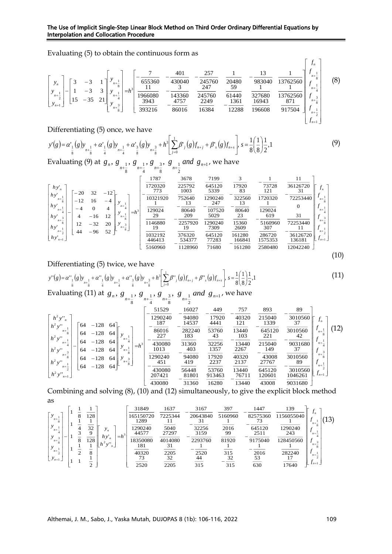## The Use of Implicit Single-Step Linear Block Method on Third Order Ordinary Differential Equations by Interpolation and Collocation Procedure

Evaluating (5) to obtain the continuous form as

$$
\begin{bmatrix}\ny_n \\
y_{n+1} \\
y_{n+2} \\
y_{n+1}\n\end{bmatrix} - \begin{bmatrix}\n3 & -3 & 1 \\
1 & -3 & 3 \\
15 & -35 & 21\n\end{bmatrix} \begin{bmatrix}\ny_{n+1} \\
y_{n+1} \\
y_{n+1} \\
y_{n+2} \\
y_{n+3}^2\n\end{bmatrix} = h^3 \begin{bmatrix}\n-\frac{7}{655360} & -\frac{401}{430040} & -\frac{257}{245760} & \frac{1}{20480} & -\frac{13}{983040} & \frac{1}{13762560} \\
\frac{11}{1966080} & -\frac{3}{143360} & \frac{247}{245760} & \frac{59}{61440} & \frac{1}{327680} & \frac{1}{13762560} \\
\frac{3943}{393216} & -\frac{4757}{86016} & \frac{2249}{16384} & -\frac{1361}{12288} & \frac{16943}{196608} & \frac{871}{917504} & \frac{1}{f_{n+1}^2} \\
\frac{f_{n+1}^2}{f_{n+1}^2} & -\frac{1}{f_{n+1}^2} & -\frac{1}{256016} & \frac{271}{16384} & -\frac{1}{12288} & \frac{1}{12288} & \frac{1}{126608} & \frac{1}{127504} & \frac{1}{f_{n+1}^2} \\
\frac{f_{n+1}^2}{f_{n+1}^2} & -\frac{1}{f_{n+1}^2} & -\frac{1}{f_{n+1}^2}\n\end{bmatrix} \quad (8)
$$

Differentiating (5) once, we have

| $y'(g) = \alpha'_{\frac{1}{8}}(g) y_{n+\frac{1}{8}} + \alpha'_{\frac{1}{4}}(g) y_{n+\frac{1}{4}} + \alpha'_{\frac{3}{8}}(g) y_{n+\frac{3}{8}} + h^3 \left[ \sum_{j=0}^{1} \beta'_{j}(g) f_{n+j} + \beta'_{s}(g) f_{n+s} \right], s = \frac{1}{8} \left( \frac{1}{8} \right) \frac{1}{2}, 1$ |  | (9) |
|---------------------------------------------------------------------------------------------------------------------------------------------------------------------------------------------------------------------------------------------------------------------------------------------|--|-----|
|                                                                                                                                                                                                                                                                                             |  |     |

Evaluating (9) at  $g_n, g_{-1}, g_{-1}, g_{-3}, g_{-1}$  and  $g_{n+1}$ 2 1 8 3 4 1 8  $g_n, g_{n+1}, g_{n+1}, g_{n+2}, g_{n+1}$  and  $g_{n+1}$ , we have

|                                                                           | 1787                   | 3678             | 7199            | 3                |                   | 11                      |                              |
|---------------------------------------------------------------------------|------------------------|------------------|-----------------|------------------|-------------------|-------------------------|------------------------------|
| $hy'_n$<br>$-20$<br>32<br>$-12$                                           | 1720320<br>773         | 225792<br>1003   | 645120<br>5339  | 17920<br>83      | 73728<br>121      | 36126720<br>$J_n$<br>31 |                              |
| hy'<br>$n + -$<br>$-12$<br>16<br>$\mathbf{\hat{x}}$<br>hy'<br>$n + -$     | 10321920               | 752640<br>13     | 1290240<br>247  | 322560<br>13     | 1720320           | 72253440<br>0           | $n + \frac{1}{8}$            |
| $-4$<br>4<br>$n + -$<br>–<br>12<br>hy'<br>$-16$<br>4<br>$n + -$<br>3<br>8 | 129024<br>$=h^3$<br>29 | 80640<br>209     | 107520<br>5029  | 80640<br>23      | 129024<br>619     | 31                      | $n + -$                      |
| $n + -$<br>20<br>$-32$<br>12<br>3<br>h y<br>$n+\frac{1}{8}$<br>$n + -$    | 1146880<br>19          | 2257920<br>19    | 1290240<br>7309 | 15360<br>2609    | 5160960<br>307    | 72253440<br>11          | $n + \frac{3}{8}$<br>$n + -$ |
| 52<br>$-96$<br>44<br>h y'<br>$n+1$                                        | 1032192<br>446413      | 376320<br>534377 | 645120<br>77283 | 161280<br>166841 | 286720<br>1575353 | 36126720<br>136181      | $J_{n+1}$                    |
|                                                                           | 5160960                | 1128960          | 71680           | 161280           | 2580480           | 12042240                |                              |
|                                                                           |                        |                  |                 |                  |                   |                         | $\left(10\right)$            |

Differentiating (5) twice, we have

$$
y''(g) = \alpha''_{\frac{1}{8}}(g) y_{n+\frac{1}{8}} + \alpha''_{\frac{1}{4}}(g) y_{n+\frac{1}{4}} + \alpha''_{\frac{3}{8}}(g) y_{n+\frac{3}{8}} + h^3 \left[ \sum_{j=0}^{1} \beta''_{j}(g) f_{n+j} + \beta''_{s}(g) f_{n+s} \right], s = \frac{1}{8} \left( \frac{1}{8} \right) \frac{1}{2}, 1
$$
\n(11)

Evaluating (11) at  $g_n$ ,  $g_{-1}$ ,  $g_{-1}$ ,  $g_{-3}$ ,  $g_{-1}$  and  $g_{n+1}$ 2 1 8 3 4 1 8  $g_n, g_{n+1}, g_{n+1}, g_{n+2}, g_{n+1}$  and  $g_{n+1}$ , we have

$$
\begin{bmatrix} h^2 y_{n}^{n} \\ h^2 y_{n+\frac{1}{8}}^{n} \\ h^2 y_{n+\frac{1}{4}}^{n} \\ h^2 y_{n+\frac{1}{4}}^{n} \\ h^2 y_{n+\frac{1}{4}}^{n} \\ h^2 y_{n+\frac{1}{4}}^{n} \\ h^2 y_{n+\frac{1}{4}}^{n} \\ h^2 y_{n+\frac{1}{4}}^{n} \\ h^2 y_{n+\frac{1}{4}}^{n} \\ h^2 y_{n+\frac{1}{4}}^{n} \\ h^2 y_{n+\frac{1}{4}}^{n} \\ h^2 y_{n+\frac{1}{4}}^{n} \\ h^2 y_{n+\frac{1}{4}}^{n} \\ h^2 y_{n+\frac{1}{4}}^{n} \\ h^2 y_{n+\frac{1}{4}}^{n} \\ h^2 y_{n+\frac{1}{4}}^{n} \\ h^2 y_{n+\frac{1}{4}}^{n} \\ h^2 y_{n+\frac{1}{4}}^{n} \\ h^2 y_{n+\frac{1}{4}}^{n} \\ h^2 y_{n+\frac{1}{4}}^{n} \\ h^2 y_{n+\frac{1}{4}}^{n} \\ h^2 y_{n+\frac{1}{4}}^{n} \\ h^2 y_{n+\frac{1}{4}}^{n} \\ h^2 y_{n+\frac{1}{4}}^{n} \\ h^2 y_{n+\frac{1}{4}}^{n} \\ h^2 y_{n+\frac{1}{4}}^{n} \\ h^2 y_{n+\frac{1}{4}}^{n} \\ h^2 y_{n+\frac{1}{4}}^{n} \\ h^2 y_{n+\frac{1}{4}}^{n} \\ h^2 y_{n+\frac{1}{4}}^{n} \\ h^2 y_{n+\frac{1}{4}}^{n} \\ h^2 y_{n+\frac{1}{4}}^{n} \\ h^2 y_{n+\frac{1}{4}}^{n} \\ h^2 y_{n+\frac{1}{4}}^{n} \\ h^2 y_{n+\frac{1}{4}}^{n} \\ h^2 y_{n+\frac{1}{4}}^{n} \\ h^2 y_{n+\frac{1}{4}}^{n} \\ h^2 y_{n+\frac{1}{4}}^{n} \\ h^2 y_{n+\frac{1}{4}}^{n} \\ h^2 y_{n+\frac{1}{4}}^{n} \\ h^2 y_{n+\frac{1}{4}}^{n} \\ h^2 y_{n+\frac{1}{4}}^{n} \\ h^2 y_{n+\frac{1}{4}}^{n} \\ h^2 y_{n+\frac{1}{4}}^{n} \\ h^2 y_{n+\frac{1}{4
$$

Combining and solving (8), (10) and (12) simultaneously, to give the explicit block method as

$$
\begin{bmatrix} y_{n+\frac{1}{8}} \\ y_{n+\frac{1}{4}} \\ y_{n+\frac{1}{4}} \\ y_{n+\frac{1}{2}} \\ y_{n+\frac{1}{2}} \\ y_{n+\frac{1}{2}} \end{bmatrix} \begin{bmatrix} 1 & \frac{1}{8} & \frac{1}{128} \\ 1 & \frac{1}{4} & \frac{1}{32} \\ 1 & \frac{1}{8} & \frac{128}{128} \\ 1 & \frac{1}{8} & \frac{128}{128} \\ 1 & \frac{1}{2} & \frac{1}{8} \\ 1 & 1 & \frac{1}{2} \\ 1 & 1 & \frac{1}{2} \end{bmatrix} \begin{bmatrix} y_n \\ y_n \\ h y'_n \\ h^2 y'_n \end{bmatrix} = h^3 \begin{bmatrix} \frac{31849}{7225344} & -\frac{3167}{20643840} & \frac{397}{5160960} & -\frac{1447}{82575360} & \frac{139}{1156055040} \\ -\frac{31}{32256} & \frac{1}{2016} & -\frac{73}{645120} & \frac{1}{1290240} \\ \frac{3159}{81920} & -\frac{3159}{2293760} & \frac{99}{81920} & -\frac{2511}{218450560} & \frac{243}{128450560} \\ \frac{1}{28450560} & \frac{1}{243} & \frac{1}{243} \\ 1 & 1 & \frac{1}{2} \\ 1 & 1 & \frac{1}{2} \end{bmatrix} \begin{bmatrix} y_n \\ h y'_n \\ h^2 y'_n \\ \frac{181}{40320} & \frac{31}{2205} & -\frac{1}{2520} \\ \frac{73}{2520} & \frac{32}{2205} & \frac{44}{315} & -\frac{3}{315} \\ \frac{73}{2205} & \frac{32}{2205} & \frac{44}{315} & -\frac{32}{315} \\ \frac{73}{2520} & \frac{3}{2205} & \frac{44}{315} & -\frac{3}{315} \\ \frac{73
$$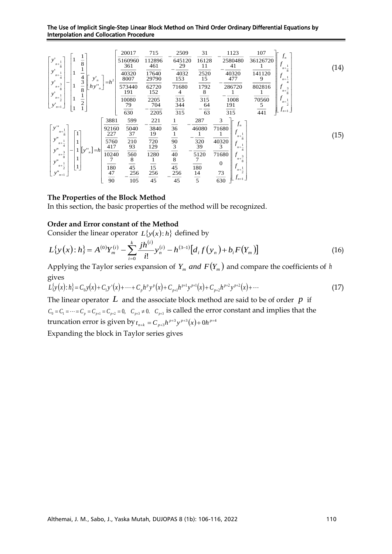The Use of Implicit Single-Step Linear Block Method on Third Order Ordinary Differential Equations by Interpolation and Collocation Procedure

| y'<br>8<br>$n + \frac{1}{8}$<br>y'<br>$n+\frac{1}{4}$<br>4<br>$y'_n$<br>3<br>y'<br>3<br>$hy^{\prime\prime}$<br>$n + \frac{1}{8}$<br>$\boldsymbol{n}$<br>8<br>$y^{\prime}$<br>$n + \frac{1}{2}$<br>$\overline{c}$<br>$\mathcal{Y}_{n+1}$ | $=h^2$                                                               | 20017<br>5160960<br>361<br>40320<br>8007<br>573440<br>191<br>10080<br>79<br>630 | 715<br>112896<br>461<br>17640<br>29790<br>62720<br>152<br>2205<br>704<br>2205 | 2509<br>645120<br>29<br>4032<br>153<br>71680<br>4<br>315<br>344<br>315      | 31<br>16128<br>11<br>2520<br>15<br>1792<br>8<br>315<br>64<br>63 | 1123<br>2580480<br>41<br>40320<br>477<br>286720<br>1008<br>191<br>315                                                                                                                        | 107<br>$f_n$<br>36126720<br>$n + \frac{1}{8}$<br>141120<br>9<br>$n + -$<br>$\overline{4}$<br>802816<br>3<br>$n + \frac{1}{8}$<br>70560<br>$n + \frac{1}{2}$<br>5<br>$\overline{441}$<br>$J_{n+1}$ | (14) |
|-----------------------------------------------------------------------------------------------------------------------------------------------------------------------------------------------------------------------------------------|----------------------------------------------------------------------|---------------------------------------------------------------------------------|-------------------------------------------------------------------------------|-----------------------------------------------------------------------------|-----------------------------------------------------------------|----------------------------------------------------------------------------------------------------------------------------------------------------------------------------------------------|---------------------------------------------------------------------------------------------------------------------------------------------------------------------------------------------------|------|
| $\sqrt{y}$ .<br>$n + -$<br>y''<br>$n + -$<br>$\overline{4}$<br>y''<br>  y''  <br>$=h$<br>3<br>$n + -$<br>8<br>y''<br>$\mathbf{1}$<br>$n + \frac{1}{2}$<br>$y_{n+1}''$                                                                   | 3881<br>92160<br>227<br>5760<br>417<br>10240<br>7<br>180<br>47<br>90 | 599<br>5040<br>37<br>210<br>93<br>560<br>8<br>45<br>256<br>105                  | 221<br>3840<br>19<br>720<br>129<br>1280<br>15<br>256<br>45                    | 36<br>90<br>$\ensuremath{\mathfrak{Z}}$<br>40<br>$\bf 8$<br>45<br>256<br>45 | 287<br>46080<br>320<br>39<br>5120<br>180<br>14<br>5             | 3<br>$J_n$<br>71680<br>$n + \frac{1}{8}$<br>40320<br>3<br>$n + \frac{1}{4}$<br>71680<br>$\overline{3}$<br>$n + -$<br>$\boldsymbol{0}$<br>$n + -$<br>73<br>2<br>$J_{n+1}$<br>$\overline{630}$ |                                                                                                                                                                                                   | (15) |

## **The Properties of the Block Method**

In this section, the basic properties of the method will be recognized.

## **Order and Error constant of the Method**

Consider the linear operator  $L\{y(x): h\}$  defined by

$$
L\{y(x):h\} = A^{(0)}Y_m^{(i)} - \sum_{i=0}^k \frac{jh^{(i)}}{i!}y_n^{(i)} - h^{(3-1)}[d_i f(y_n) + b_i F(Y_m)]
$$
\n(16)

Applying the Taylor series expansion of  $Y_m$  *and*  $F(Y_m)$  and compare the coefficients of h gives

$$
L\{y(x):h\} = C_0y(x) + C_1y'(x) + \dots + C_ph^p y^p(x) + C_{p+1}h^{p+1}y^{p+1}(x) + C_{p+2}h^{p+2}y^{p+2}(x) + \dots
$$
\n(17)

The linear operator  $L$  and the associate block method are said to be of order  $p$  if  $C_0 = C_1 = \cdots = C_p = C_{p+1} = C_{p+2} = 0$ ,  $C_{p+3} \neq 0$ .  $C_{p+3}$  is called the error constant and implies that the truncation error is given by  $t_{n+k} = C_{p+3}h^{p+3}y^{p+3}(x) + 0h^{p+4}y^{p+2}$ 

Expanding the block in Taylor series gives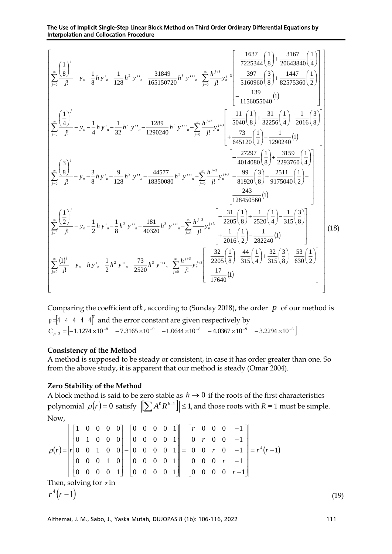The Use of Implicit Single-Step Linear Block Method on Third Order Ordinary Differential Equations by Interpolation and Collocation Procedure

$$
\left[\sum_{j=0}^{\infty} \frac{\left(\frac{1}{8}\right)^j}{j!} - y_n - \frac{1}{8}h y_n - \frac{1}{128}h^2 y_{n-1} - \frac{31849}{165150720}h^3 y_{n-1} - \sum_{j=0}^{\infty} \frac{h^{j+3}}{j!} y_n^{j+3} - \frac{397}{1500960} \left(\frac{3}{8}\right) + \frac{1447}{82575360} \left(\frac{1}{2}\right) \right] \right]
$$
\n
$$
\left[\sum_{j=0}^{\infty} \frac{\left(\frac{1}{4}\right)^j}{j!} - y_n - \frac{1}{4}h y_n - \frac{1}{32}h^2 y_{n-1} - \frac{1289}{1290240}h^3 y_{n-1} - \sum_{j=0}^{\infty} \frac{h^{j+3}}{j!} y_n^{j+3} - \frac{1}{50400} \left(\frac{1}{8}\right) + \frac{31}{32256} \left(\frac{1}{4}\right) - \frac{1}{2016} \left(\frac{3}{8}\right) \right]
$$
\n
$$
\left[\sum_{j=0}^{\infty} \frac{\left(\frac{1}{4}\right)^j}{j!} - y_n - \frac{1}{4}h y_n - \frac{1}{32}h^2 y_{n-1} - \frac{1289}{1290240}h^3 y_{n-1} - \sum_{j=0}^{\infty} \frac{h^{j+3}}{j!} y_n^{j+3} - \frac{5}{15040} \left(\frac{1}{8}\right) + \frac{31}{32256} \left(\frac{1}{4}\right) - \frac{1}{2016} \left(\frac{3}{8}\right) \right]
$$
\n
$$
\left[\sum_{j=0}^{\infty} \frac{\left(\frac{3}{8}\right)^j}{j!} - y_n - \frac{3}{8}h y_n - \frac{9}{128}h^2 y_{n-1} - \frac{44577}{18350080}h^3 y_{n-1} - \sum_{j=0}^{\infty} \frac{h^{j+3}}{j!} y_n^{j+3} - \frac{5}{181920} \left(\frac{1}{8}\right) + \frac{251
$$

Comparing the coefficient of  $h$ , according to (Sunday 2018), the order  $p$  of our method is  $p = [4 \ 4 \ 4 \ 4]^T$  and the error constant are given respectively by  $C_{p+3} = \begin{bmatrix} -1.1274 \times 10^{-8} & -7.3165 \times 10^{-9} & -1.0644 \times 10^{-8} & -4.0367 \times 10^{-9} & -3.2294 \times 10^{-6} \end{bmatrix}$ 

## **Consistency of the Method**

A method is supposed to be steady or consistent, in case it has order greater than one. So from the above study, it is apparent that our method is steady (Omar 2004).

## **Zero Stability of the Method**

A block method is said to be zero stable as  $h \rightarrow 0$  if the roots of the first characteristics polynomial  $\rho(r)$  = 0 satisfy  $\left\| \sum A^0 R^{k-1} \right\| \leq 1$ , and those roots with  $R$  = 1 must be simple. Now,

 $(r) = |r| 0 \t0 \t1 \t0 \t0 | - |0 \t0 \t0 \t1| = |0 \t0 \t r \t0 \t -1 | = r^4(r-1)$  $0 \t0 \t0 \t0 \t r-1$  $0 \t0 \t r \t-1$  $0 \quad 0 \quad r \quad 0 \quad -1$  $0 \thinspace r \thinspace 0 \thinspace 0 \thinspace -1$  $0 \t0 \t-1$ 0 0 0 0 1 0 0 0 0 1 0 0 0 0 1 0 0 0 0 1 0 0 0 0 1 0 0 0 0 1 0 0 0 1 0 0 0 1 0 0 0 1 0 0 0 1 0 0 0 0  $= r^4(r$ l  $\rfloor$ 1  $\mathsf{I}$  $\mathbf{r}$  $\mathbf{r}$  $\mathsf{I}$  $\mathsf{L}$  $\mathbb{I}$ L Γ − − − − − = 」 1  $\mathsf{I}$  $\mathbf{r}$  $\mathbf{r}$  $\mathsf{I}$  $\mathsf{L}$  $\mathbb{I}$ L Γ − l J 1  $\mathsf{L}$  $\mathbf{r}$  $\mathbf{r}$  $\mathsf{L}$  $\mathsf{L}$  $\mathbb{L}$ L Γ  $=$   $r$   $r$   $0$   $0$   $1$   $0$   $0$   $1$   $0$   $0$   $0$   $0$   $1$   $1$   $=$   $1$   $0$   $0$   $r$   $0$   $-1$   $1$   $=$   $r$   $r$ *r r r r r*  $\rho(r) = |r|$ Then, solving for z in  $^{4}(r-1)$ *r*  $(r-1)$  (19)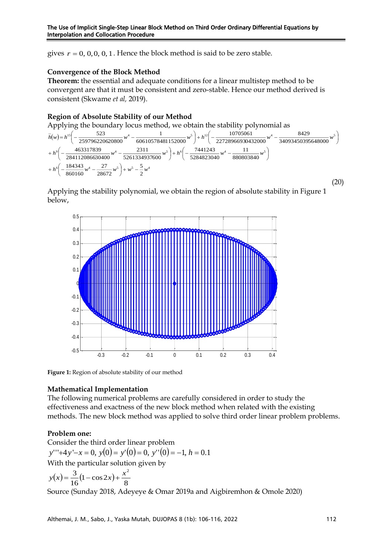gives  $r = 0, 0, 0, 0, 1$ . Hence the block method is said to be zero stable.

## **Convergence of the Block Method**

**Theorem:** the essential and adequate conditions for a linear multistep method to be convergent are that it must be consistent and zero-stable. Hence our method derived is consistent (Skwame *et al,* 2019).

## **Region of Absolute Stability of our Method**

Applying the boundary locus method, we obtain the stability polynomial as



Applying the stability polynomial, we obtain the region of absolute stability in Figure 1 below,



**Figure 1:** Region of absolute stability of our method

## **Mathematical Implementation**

The following numerical problems are carefully considered in order to study the effectiveness and exactness of the new block method when related with the existing methods. The new block method was applied to solve third order linear problem problems.

## **Problem one:**

Consider the third order linear problem *<sup>y</sup>*'''+4*<sup>y</sup>* '−*<sup>x</sup>* <sup>=</sup> 0, *<sup>y</sup>*(0) <sup>=</sup> *<sup>y</sup>*'(0) <sup>=</sup> 0, *<sup>y</sup>*''(0) <sup>=</sup> <sup>−</sup>1, *<sup>h</sup>* <sup>=</sup> 0.1 With the particular solution given by

$$
y(x) = \frac{3}{16} (1 - \cos 2x) + \frac{x^2}{8}
$$

Source (Sunday 2018, Adeyeye & Omar 2019a and Aigbiremhon & Omole 2020)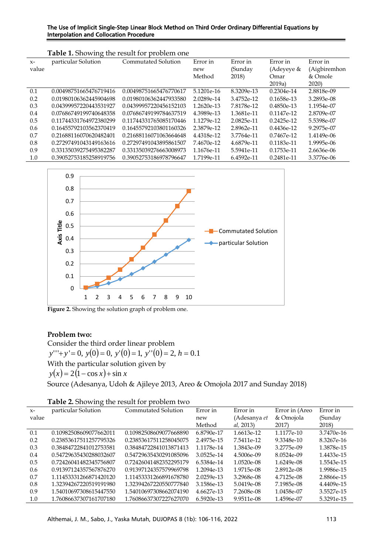## The Use of Implicit Single-Step Linear Block Method on Third Order Ordinary Differential Equations by Interpolation and Collocation Procedure

|       | Table 1. Showing the result for problem one |                        |              |            |              |              |  |  |  |
|-------|---------------------------------------------|------------------------|--------------|------------|--------------|--------------|--|--|--|
| $X-$  | particular Solution                         | Commutated Solution    | Error in     | Error in   | Error in     | Error in     |  |  |  |
| value |                                             |                        | new          | (Sunday    | (Adeyeye &   | (Aigbiremhon |  |  |  |
|       |                                             |                        | Method       | 2018)      | Omar         | & Omole      |  |  |  |
|       |                                             |                        |              |            | 2019a)       | 2020)        |  |  |  |
| 0.1   | 0.00498751665476719416                      | 0.00498751665476770617 | 5.1201e-16   | 8.3209e-13 | $0.2304e-14$ | 2.8818e-09   |  |  |  |
| 0.2   | 0.01980106362445904698                      | 0.01980106362447933580 | 2.0289e-14   | 3.4752e-12 | 0.1658e-13   | 3.2893e-08   |  |  |  |
| 0.3   | 0.04399957220443531927                      | 0.04399957220456152103 | $1.2620e-13$ | 7.8178e-12 | 0.4850e-13   | 1.1954e-07   |  |  |  |
| 0.4   | 0.07686749199740648358                      | 0.07686749199784637519 | 4.3989e-13   | 1.3681e-11 | $0.1147e-12$ | 2.8709e-07   |  |  |  |
| 0.5   | 0.11744331764972380299                      | 0.11744331765085170446 | 1.1279e-12   | 2.0825e-11 | $0.2425e-12$ | 5.5398e-07   |  |  |  |
| 0.6   | 0.16455792103562370419                      | 0.16455792103801160326 | 2.3879e-12   | 2.8962e-11 | $0.4436e-12$ | 9.2975e-07   |  |  |  |
| 0.7   | 0.21688116070620482401                      | 0.21688116071063664648 | 4.4318e-12   | 3.7764e-11 | 0.7467e-12   | 1.4149e-06   |  |  |  |
| 0.8   | 0.27297491043149163616                      | 0.27297491043895861507 | 7.4670e-12   | 4.6879e-11 | 0.1183e-11   | 1.9995e-06   |  |  |  |
| 0.9   | 0.33135039275495382287                      | 0.33135039276663008973 | 1.1676e-11   | 5.5941e-11 | 0.1753e-11   | 2.6636e-06   |  |  |  |
| 1.0   | 0.39052753185258919756                      | 0.39052753186978796647 | 1.7199e-11   | 6.4592e-11 | 0.2481e-11   | 3.3776e-06   |  |  |  |



Figure 2. Showing the solution graph of problem one.

# **Problem two:**

Consider the third order linear problem *y*'''+*y* ' = 0, *<sup>y</sup>*(0) <sup>=</sup> 0, *<sup>y</sup>*'(0) <sup>=</sup> 1, *<sup>y</sup>*''(0) <sup>=</sup> 2, *<sup>h</sup>* <sup>=</sup> 0.1 With the particular solution given by  $y(x) = 2(1 - \cos x) + \sin x$ Source (Adesanya, Udoh & Ajileye 2013, Areo & Omojola 2017 and Sunday 2018)

|  |  | Table 2. Showing the result for problem two |  |  |
|--|--|---------------------------------------------|--|--|
|--|--|---------------------------------------------|--|--|

| $X-$  | particular Solution    | Commutated Solution    | Error in     | Error in            | Error in (Areo | Error in     |
|-------|------------------------|------------------------|--------------|---------------------|----------------|--------------|
| value |                        |                        | new          | (Adesanya <i>et</i> | & Omojola      | (Sunday      |
|       |                        |                        | Method       | al, 2013)           | 2017)          | 2018)        |
| 0.1   | 0.10982508609077662011 | 0.10982508609077668890 | 6.8790e-17   | 1.6613e-12          | 1.1177e-10     | 3.7470e-16   |
| 0.2   | 0.23853617511257795326 | 0.23853617511258045075 | 2.4975e-15   | 7.5411e-12          | 9.3348e-10     | 8.3267e-16   |
| 0.3   | 0.38484722841012753581 | 0.38484722841013871413 | 1.1178e-14   | 1.3843e-09          | 3.2775e-09     | 1.3878e-15   |
| 0.4   | 0.54729635430288032607 | 0.54729635430291085096 | 3.0525e-14   | 4.5006e-09          | 8.0524e-09     | 1.4433e-15   |
| 0.5   | 0.72426041482345756807 | 0.72426041482352295179 | 6.5384e-14   | 1.0520e-08          | $1.6249e-08$   | 1.5543e-15   |
| 0.6   | 0.91397124357567876270 | 0.91397124357579969798 | $1.2094e-13$ | 1.9715e-08          | 2.8912e-08     | 1.9986e-15   |
| 0.7   | 1.11453331266871420120 | 1.11453331266891678780 | 2.0259e-13   | 3.2968e-08          | 4.7125e-08     | 2.8866e-15   |
| 0.8   | 1.32394267220519191980 | 1.32394267220550777840 | 3.1586e-13   | 5.0419e-08          | 7.1985e-08     | $4.4409e-15$ |
| 0.9   | 1.54010697308615447550 | 1.54010697308662074190 | $4.6627e-13$ | 7.2608e-08          | 1.0458e-07     | 3.5527e-15   |
| 1.0   | 1.76086637307161707180 | 1.76086637307227627070 | 6.5920e-13   | 9.9511e-08          | 1.4596e-07     | 5.3291e-15   |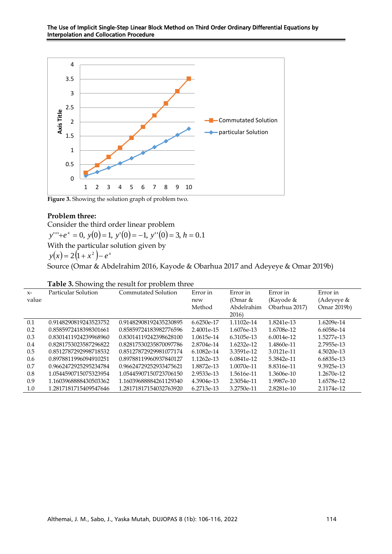

Figure 3. Showing the solution graph of problem two.

## **Problem three:**

Consider the third order linear problem *y*'''+*e*<sup>*x*</sup> = 0, *y*(0) = 1, *y*'(0) = −1, *y*''(0) = 3, *h* = 0.1 With the particular solution given by  $y(x) = 2(1 + x^2) - e^x$ Source (Omar & Abdelrahim 2016, Kayode & Obarhua 2017 and Adeyeye & Omar 2019b)

| $X-$  | Particular Solution   | Commutated Solution    | Error in   | Error in     | Error in      | Error in    |
|-------|-----------------------|------------------------|------------|--------------|---------------|-------------|
| value |                       |                        | new        | (Omar &      | (Kayode &     | (Adeyeye &  |
|       |                       |                        | Method     | Abdelrahim   | Obarhua 2017) | Omar 2019b) |
|       |                       |                        |            | 2016)        |               |             |
| 0.1   | 0.9148290819243523752 | 0.91482908192435230895 | 6.6250e-17 | 1.1102e-14   | 1.8241e-13    | 1.6209e-14  |
| 0.2   | 0.8585972418398301661 | 0.85859724183982776596 | 2.4001e-15 | 1.6076e-13   | 1.6708e-12    | 6.6058e-14  |
| 0.3   | 0.8301411924239968960 | 0.83014119242398628100 | 1.0615e-14 | 6.3105e-13   | $6.0014e-12$  | 1.5277e-13  |
| 0.4   | 0.8281753023587296822 | 0.82817530235870097786 | 2.8704e-14 | $1.6232e-12$ | 1.4860e-11    | 2.7955e-13  |
| 0.5   | 0.8512787292998718532 | 0.85127872929981077174 | 6.1082e-14 | 3.3591e-12   | 3.0121e-11    | 4.5020e-13  |
| 0.6   | 0.8978811996094910251 | 0.89788119960937840127 | 1.1262e-13 | 6.0841e-12   | 5.3842e-11    | 6.6835e-13  |
| 0.7   | 0.9662472925295234784 | 0.96624729252933475621 | 1.8872e-13 | 1.0070e-11   | 8.8316e-11    | 9.3925e-13  |
| 0.8   | 1.0544590715075323954 | 1.05445907150723706150 | 2.9533e-13 | 1.5616e-11   | 1.3606e-10    | 1.2670e-12  |
| 0.9   | 1.1603968888430503362 | 1.16039688884261129340 | 4.3904e-13 | 2.3054e-11   | 1.9987e-10    | 1.6578e-12  |
| 1.0   | 1.2817181715409547646 | 1.28171817154032763920 | 6.2713e-13 | 3.2750e-11   | 2.8281e-10    | 2.1174e-12  |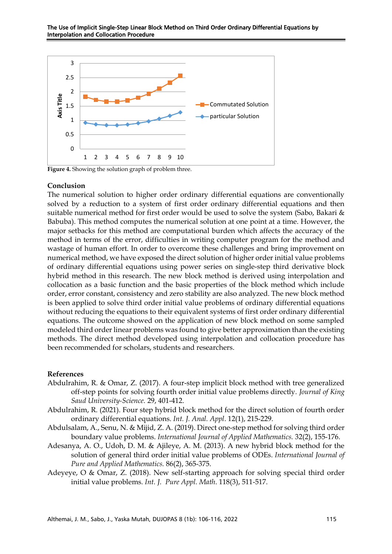

Figure 4. Showing the solution graph of problem three.

### **Conclusion**

The numerical solution to higher order ordinary differential equations are conventionally solved by a reduction to a system of first order ordinary differential equations and then suitable numerical method for first order would be used to solve the system (Sabo, Bakari & Babuba). This method computes the numerical solution at one point at a time. However, the major setbacks for this method are computational burden which affects the accuracy of the method in terms of the error, difficulties in writing computer program for the method and wastage of human effort. In order to overcome these challenges and bring improvement on numerical method, we have exposed the direct solution of higher order initial value problems of ordinary differential equations using power series on single-step third derivative block hybrid method in this research. The new block method is derived using interpolation and collocation as a basic function and the basic properties of the block method which include order, error constant, consistency and zero stability are also analyzed. The new block method is been applied to solve third order initial value problems of ordinary differential equations without reducing the equations to their equivalent systems of first order ordinary differential equations. The outcome showed on the application of new block method on some sampled modeled third order linear problems was found to give better approximation than the existing methods. The direct method developed using interpolation and collocation procedure has been recommended for scholars, students and researchers.

#### **References**

- Abdulrahim, R. & Omar, Z. (2017). A four-step implicit block method with tree generalized off-step points for solving fourth order initial value problems directly*. Journal of King Saud University-Science.* 29, 401-412.
- Abdulrahim, R. (2021). Four step hybrid block method for the direct solution of fourth order ordinary differential equations. *Int. J. Anal. Appl*. 12(1), 215-229.
- Abdulsalam, A., Senu, N. & Mijid, Z. A. (2019). Direct one-step method for solving third order boundary value problems. *International Journal of Applied Mathematics.* 32(2), 155-176.
- Adesanya, A. O., Udoh, D. M. & Ajileye, A. M. (2013). A new hybrid block method for the solution of general third order initial value problems of ODEs. *International Journal of Pure and Applied Mathematics.* 86(2), 365-375.
- Adeyeye, O & Omar, Z. (2018). New self-starting approach for solving special third order initial value problems*. Int. J. Pure Appl. Math*. 118(3), 511-517.